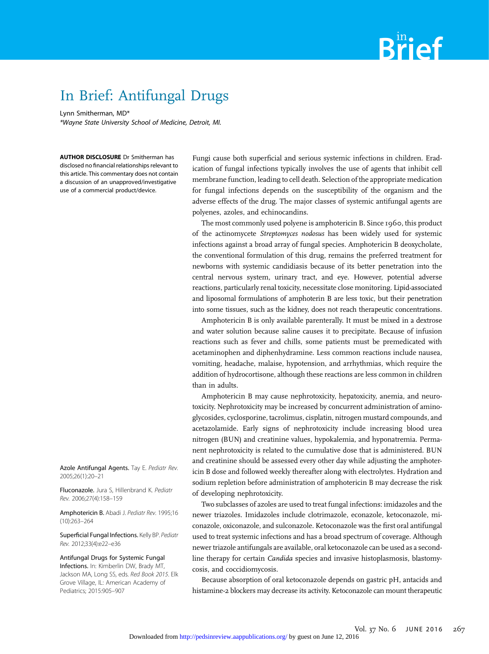

## In Brief: Antifungal Drugs

Lynn Smitherman, MD\* \*Wayne State University School of Medicine, Detroit, MI.

AUTHOR DISCLOSURE Dr Smitherman has disclosed no financial relationships relevant to this article. This commentary does not contain a discussion of an unapproved/investigative use of a commercial product/device.

Azole Antifungal Agents. Tay E. Pediatr Rev. 2005;26(1):20–21

Fluconazole. Jura S, Hillenbrand K. Pediatr Rev. 2006;27(4):158–159

Amphotericin B. Abadi J. Pediatr Rev. 1995;16 (10):263–264

Superficial Fungal Infections. Kelly BP. Pediatr Rev. 2012;33(4):e22–e36

Infections. In: Kimberlin DW, Brady MT, Jackson MA, Long SS, eds. Red Book 2015. Elk Grove Village, IL: American Academy of Pediatrics; 2015:905–907

Fungi cause both superficial and serious systemic infections in children. Eradication of fungal infections typically involves the use of agents that inhibit cell membrane function, leading to cell death. Selection of the appropriate medication for fungal infections depends on the susceptibility of the organism and the adverse effects of the drug. The major classes of systemic antifungal agents are polyenes, azoles, and echinocandins.

The most commonly used polyene is amphotericin B. Since 1960, this product of the actinomycete Streptomyces nodosus has been widely used for systemic infections against a broad array of fungal species. Amphotericin B deoxycholate, the conventional formulation of this drug, remains the preferred treatment for newborns with systemic candidiasis because of its better penetration into the central nervous system, urinary tract, and eye. However, potential adverse reactions, particularly renal toxicity, necessitate close monitoring. Lipid-associated and liposomal formulations of amphoterin B are less toxic, but their penetration into some tissues, such as the kidney, does not reach therapeutic concentrations.

Amphotericin B is only available parenterally. It must be mixed in a dextrose and water solution because saline causes it to precipitate. Because of infusion reactions such as fever and chills, some patients must be premedicated with acetaminophen and diphenhydramine. Less common reactions include nausea, vomiting, headache, malaise, hypotension, and arrhythmias, which require the addition of hydrocortisone, although these reactions are less common in children than in adults.

Amphotericin B may cause nephrotoxicity, hepatoxicity, anemia, and neurotoxicity. Nephrotoxicity may be increased by concurrent administration of aminoglycosides, cyclosporine, tacrolimus, cisplatin, nitrogen mustard compounds, and acetazolamide. Early signs of nephrotoxicity include increasing blood urea nitrogen (BUN) and creatinine values, hypokalemia, and hyponatremia. Permanent nephrotoxicity is related to the cumulative dose that is administered. BUN and creatinine should be assessed every other day while adjusting the amphotericin B dose and followed weekly thereafter along with electrolytes. Hydration and sodium repletion before administration of amphotericin B may decrease the risk of developing nephrotoxicity.

Two subclasses of azoles are used to treat fungal infections: imidazoles and the newer triazoles. Imidazoles include clotrimazole, econazole, ketoconazole, miconazole, oxiconazole, and sulconazole. Ketoconazole was the first oral antifungal used to treat systemic infections and has a broad spectrum of coverage. Although newer triazole antifungals are available, oral ketoconazole can be used as a secondline therapy for certain Candida species and invasive histoplasmosis, blastomycosis, and coccidiomycosis.

Because absorption of oral ketoconazole depends on gastric pH, antacids and histamine-2 blockers may decrease its activity. Ketoconazole can mount therapeutic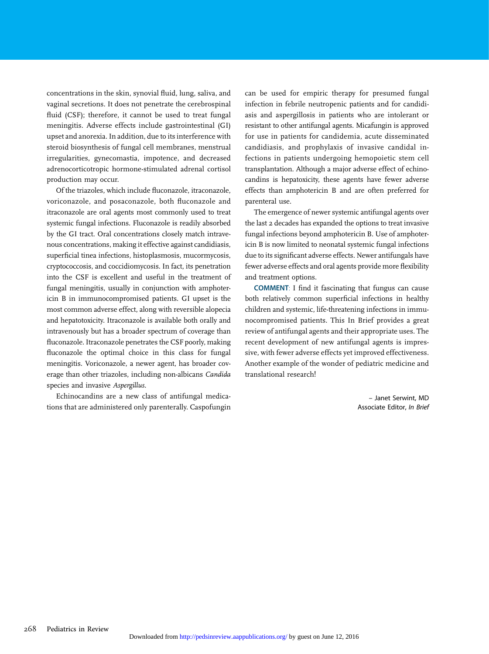concentrations in the skin, synovial fluid, lung, saliva, and vaginal secretions. It does not penetrate the cerebrospinal fluid (CSF); therefore, it cannot be used to treat fungal meningitis. Adverse effects include gastrointestinal (GI) upset and anorexia. In addition, due to its interference with steroid biosynthesis of fungal cell membranes, menstrual irregularities, gynecomastia, impotence, and decreased adrenocorticotropic hormone-stimulated adrenal cortisol production may occur.

Of the triazoles, which include fluconazole, itraconazole, voriconazole, and posaconazole, both fluconazole and itraconazole are oral agents most commonly used to treat systemic fungal infections. Fluconazole is readily absorbed by the GI tract. Oral concentrations closely match intravenous concentrations, making it effective against candidiasis, superficial tinea infections, histoplasmosis, mucormycosis, cryptococcosis, and coccidiomycosis. In fact, its penetration into the CSF is excellent and useful in the treatment of fungal meningitis, usually in conjunction with amphotericin B in immunocompromised patients. GI upset is the most common adverse effect, along with reversible alopecia and hepatotoxicity. Itraconazole is available both orally and intravenously but has a broader spectrum of coverage than fluconazole. Itraconazole penetrates the CSF poorly, making fluconazole the optimal choice in this class for fungal meningitis. Voriconazole, a newer agent, has broader coverage than other triazoles, including non-albicans Candida species and invasive Aspergillus.

Echinocandins are a new class of antifungal medications that are administered only parenterally. Caspofungin can be used for empiric therapy for presumed fungal infection in febrile neutropenic patients and for candidiasis and aspergillosis in patients who are intolerant or resistant to other antifungal agents. Micafungin is approved for use in patients for candidemia, acute disseminated candidiasis, and prophylaxis of invasive candidal infections in patients undergoing hemopoietic stem cell transplantation. Although a major adverse effect of echinocandins is hepatoxicity, these agents have fewer adverse effects than amphotericin B and are often preferred for parenteral use.

The emergence of newer systemic antifungal agents over the last 2 decades has expanded the options to treat invasive fungal infections beyond amphotericin B. Use of amphotericin B is now limited to neonatal systemic fungal infections due to its significant adverse effects. Newer antifungals have fewer adverse effects and oral agents provide more flexibility and treatment options.

COMMENT: I find it fascinating that fungus can cause both relatively common superficial infections in healthy children and systemic, life-threatening infections in immunocompromised patients. This In Brief provides a great review of antifungal agents and their appropriate uses. The recent development of new antifungal agents is impressive, with fewer adverse effects yet improved effectiveness. Another example of the wonder of pediatric medicine and translational research!

> – Janet Serwint, MD Associate Editor, In Brief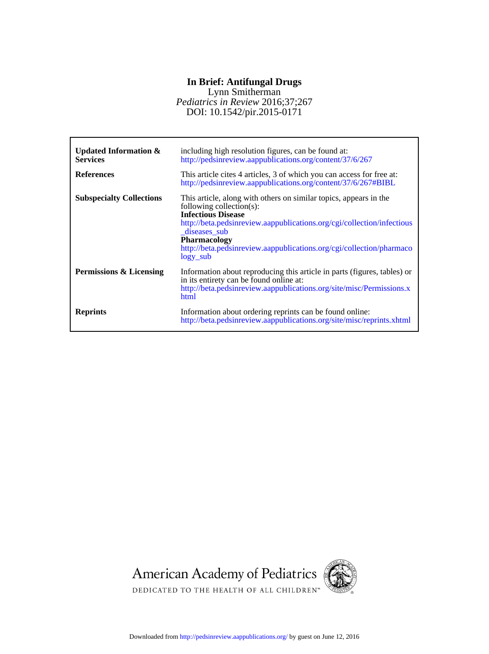## **In Brief: Antifungal Drugs**

Lynn Smitherman

DOI: 10.1542/pir.2015-0171 *Pediatrics in Review* 2016;37;267

| Updated Information $\&$<br><b>Services</b><br><b>References</b> | including high resolution figures, can be found at:<br>http://pedsinreview.aappublications.org/content/37/6/267<br>This article cites 4 articles, 3 of which you can access for free at:            |
|------------------------------------------------------------------|-----------------------------------------------------------------------------------------------------------------------------------------------------------------------------------------------------|
| <b>Subspecialty Collections</b>                                  | http://pedsinreview.aappublications.org/content/37/6/267#BIBL<br>This article, along with others on similar topics, appears in the<br>following collection(s):<br><b>Infectious Disease</b>         |
|                                                                  | http://beta.pedsinreview.aappublications.org/cgi/collection/infectious<br>diseases sub<br><b>Pharmacology</b><br>http://beta.pedsinreview.aappublications.org/cgi/collection/pharmaco<br>logy sub   |
| Permissions & Licensing                                          | Information about reproducing this article in parts (figures, tables) or<br>in its entirety can be found online at:<br>http://beta.pedsinreview.aappublications.org/site/misc/Permissions.x<br>html |
| <b>Reprints</b>                                                  | Information about ordering reprints can be found online:<br>http://beta.pedsinreview.aappublications.org/site/misc/reprints.xhtml                                                                   |